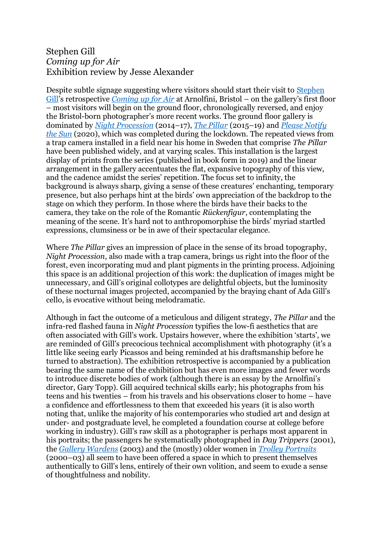## Stephen Gill *Coming up for Air* Exhibition review by Jesse Alexander

Despite subtle signage suggesting where visitors should start their visit to [Stephen](https://www.stephengill.co.uk/portfolio/news)  [Gill](https://www.stephengill.co.uk/portfolio/news)'s retrospective *[Coming up for Air](https://arnolfini.org.uk/whatson/stephen-gill/)* at Arnolfini, Bristol – on the gallery's first floor – most visitors will begin on the ground floor, chronologically reversed, and enjoy the Bristol-born photographer's more recent works. The ground floor gallery is dominated by *[Night Procession](https://www.stephengill.co.uk/portfolio/portfolio/nggallery/album-1-2/Night-Procession)* (2014–17), *[The Pillar](https://www.stephengill.co.uk/portfolio/portfolio/nggallery/album-1-2/the-pillar)* (2015–19) and *[Please Notify](https://www.nobodybooks.com/product/please-notify-the-sun)  [the Sun](https://www.nobodybooks.com/product/please-notify-the-sun)* (2020), which was completed during the lockdown. The repeated views from a trap camera installed in a field near his home in Sweden that comprise *The Pillar*  have been published widely, and at varying scales. This installation is the largest display of prints from the series (published in book form in 2019) and the linear arrangement in the gallery accentuates the flat, expansive topography of this view, and the cadence amidst the series' repetition. The focus set to infinity, the background is always sharp, giving a sense of these creatures' enchanting, temporary presence, but also perhaps hint at the birds' own appreciation of the backdrop to the stage on which they perform. In those where the birds have their backs to the camera, they take on the role of the Romantic *Rückenfigur*, contemplating the meaning of the scene. It's hard not to anthropomorphise the birds' myriad startled expressions, clumsiness or be in awe of their spectacular elegance.

Where *The Pillar* gives an impression of place in the sense of its broad topography, *Night Procession*, also made with a trap camera, brings us right into the floor of the forest, even incorporating mud and plant pigments in the printing process. Adjoining this space is an additional projection of this work: the duplication of images might be unnecessary, and Gill's original collotypes are delightful objects, but the luminosity of these nocturnal images projected, accompanied by the braying chant of Ada Gill's cello, is evocative without being melodramatic.

Although in fact the outcome of a meticulous and diligent strategy, *The Pillar* and the infra-red flashed fauna in *Night Procession* typifies the low-fi aesthetics that are often associated with Gill's work. Upstairs however, where the exhibition 'starts', we are reminded of Gill's precocious technical accomplishment with photography (it's a little like seeing early Picassos and being reminded at his draftsmanship before he turned to abstraction). The exhibition retrospective is accompanied by a publication bearing the same name of the exhibition but has even more images and fewer words to introduce discrete bodies of work (although there is an essay by the Arnolfini's director, Gary Topp). Gill acquired technical skills early; his photographs from his teens and his twenties – from his travels and his observations closer to home – have a confidence and effortlessness to them that exceeded his years (it is also worth noting that, unlike the majority of his contemporaries who studied art and design at under- and postgraduate level, he completed a foundation course at college before working in industry). Gill's raw skill as a photographer is perhaps most apparent in his portraits; the passengers he systematically photographed in *Day Trippers* (2001), the *[Gallery Wardens](https://www.stephengill.co.uk/portfolio/portfolio/nggallery/album-1-2/gallery-warders)* (2003) and the (mostly) older women in *[Trolley Portraits](https://www.stephengill.co.uk/portfolio/portfolio/nggallery/album-1-2/trolleyn)* (2000–03) all seem to have been offered a space in which to present themselves authentically to Gill's lens, entirely of their own volition, and seem to exude a sense of thoughtfulness and nobility.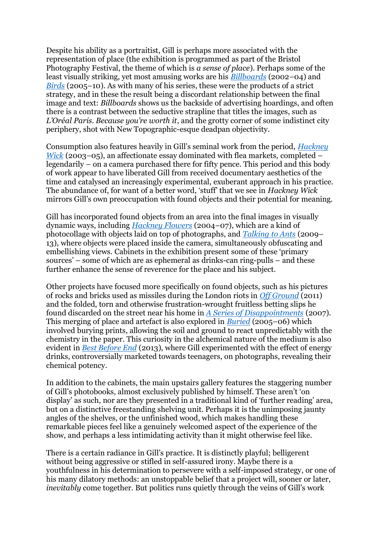Despite his ability as a portraitist, Gill is perhaps more associated with the representation of place (the exhibition is programmed as part of the Bristol Photography Festival, the theme of which is *a sense of place*). Perhaps some of the least visually striking, yet most amusing works are his *[Billboards](https://www.stephengill.co.uk/portfolio/portfolio/nggallery/album-1-2/billboards)* (2002–04) and *[Birds](https://www.stephengill.co.uk/portfolio/portfolio/nggallery/album-1-2/birds)* (2005–10). As with many of his series, these were the products of a strict strategy, and in these the result being a discordant relationship between the final image and text: *Billboards* shows us the backside of advertising hoardings, and often there is a contrast between the seductive strapline that titles the images, such as *L'Oréal Paris. Because you're worth it*, and the grotty corner of some indistinct city periphery, shot with New Topographic-esque deadpan objectivity.

Consumption also features heavily in Gill's seminal work from the period, *[Hackney](https://www.stephengill.co.uk/portfolio/portfolio/nggallery/album-1-2/hackney-wick)  [Wick](https://www.stephengill.co.uk/portfolio/portfolio/nggallery/album-1-2/hackney-wick)* (2003–05), an affectionate essay dominated with flea markets, completed – legendarily – on a camera purchased there for fifty pence. This period and this body of work appear to have liberated Gill from received documentary aesthetics of the time and catalysed an increasingly experimental, exuberant approach in his practice. The abundance of, for want of a better word, 'stuff' that we see in *Hackney Wick*  mirrors Gill's own preoccupation with found objects and their potential for meaning.

Gill has incorporated found objects from an area into the final images in visually dynamic ways, including *[Hackney Flowers](https://www.stephengill.co.uk/portfolio/portfolio/nggallery/album-1-2/hackney-flowers)* (2004–07), which are a kind of photocollage with objects laid on top of photographs, and *[Talking to Ants](https://www.stephengill.co.uk/portfolio/portfolio/nggallery/album-1-2/talking-to-ants)* (2009– 13), where objects were placed inside the camera, simultaneously obfuscating and embellishing views. Cabinets in the exhibition present some of these 'primary sources' – some of which are as ephemeral as drinks-can ring-pulls – and these further enhance the sense of reverence for the place and his subject.

Other projects have focused more specifically on found objects, such as his pictures of rocks and bricks used as missiles during the London riots in *[Off Ground](https://www.nobodybooks.com/product/off-ground)* (2011) and the folded, torn and otherwise frustration-wrought fruitless betting slips he found discarded on the street near his home in *[A Series of Disappointments](https://www.nobodybooks.com/product/a-series-of-disappointments-blue-red)* (2007)*.* This merging of place and artefact is also explored in *[Buried](https://www.stephengill.co.uk/portfolio/portfolio/nggallery/album-1-2/buried)* (2005–06) which involved burying prints, allowing the soil and ground to react unpredictably with the chemistry in the paper. This curiosity in the alchemical nature of the medium is also evident in *[Best Before End](https://www.nobodybooks.com/product/best-before-end)* (2013), where Gill experimented with the effect of energy drinks, controversially marketed towards teenagers, on photographs, revealing their chemical potency.

In addition to the cabinets, the main upstairs gallery features the staggering number of Gill's photobooks, almost exclusively published by himself. These aren't 'on display' as such, nor are they presented in a traditional kind of 'further reading' area, but on a distinctive freestanding shelving unit. Perhaps it is the unimposing jaunty angles of the shelves, or the unfinished wood, which makes handling these remarkable pieces feel like a genuinely welcomed aspect of the experience of the show, and perhaps a less intimidating activity than it might otherwise feel like.

There is a certain radiance in Gill's practice. It is distinctly playful; belligerent without being aggressive or stifled in self-assured irony. Maybe there is a youthfulness in his determination to persevere with a self-imposed strategy, or one of his many dilatory methods: an unstoppable belief that a project will, sooner or later, *inevitably* come together. But politics runs quietly through the veins of Gill's work